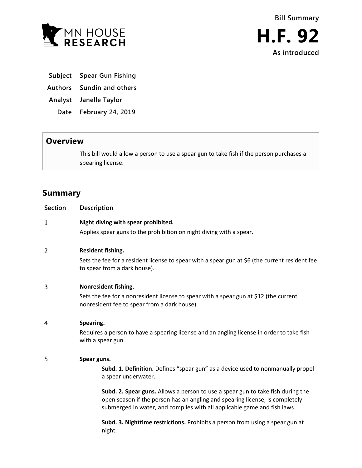

**As introduced**

- **Subject Spear Gun Fishing**
- **Authors Sundin and others**
- **Analyst Janelle Taylor**
	- **Date February 24, 2019**

## **Overview**

This bill would allow a person to use a spear gun to take fish if the person purchases a spearing license.

# **Summary**

| <b>Section</b> | Description                                                                                                                                                                                                                                 |
|----------------|---------------------------------------------------------------------------------------------------------------------------------------------------------------------------------------------------------------------------------------------|
| 1              | Night diving with spear prohibited.                                                                                                                                                                                                         |
|                | Applies spear guns to the prohibition on night diving with a spear.                                                                                                                                                                         |
| 2              | Resident fishing.                                                                                                                                                                                                                           |
|                | Sets the fee for a resident license to spear with a spear gun at \$6 (the current resident fee<br>to spear from a dark house).                                                                                                              |
| 3              | Nonresident fishing.                                                                                                                                                                                                                        |
|                | Sets the fee for a nonresident license to spear with a spear gun at \$12 (the current<br>nonresident fee to spear from a dark house).                                                                                                       |
| 4              | Spearing.                                                                                                                                                                                                                                   |
|                | Requires a person to have a spearing license and an angling license in order to take fish<br>with a spear gun.                                                                                                                              |
| 5              | Spear guns.                                                                                                                                                                                                                                 |
|                | Subd. 1. Definition. Defines "spear gun" as a device used to nonmanually propel<br>a spear underwater.                                                                                                                                      |
|                | Subd. 2. Spear guns. Allows a person to use a spear gun to take fish during the<br>open season if the person has an angling and spearing license, is completely<br>submerged in water, and complies with all applicable game and fish laws. |
|                | Subd. 3. Nighttime restrictions. Prohibits a person from using a spear gun at<br>night.                                                                                                                                                     |